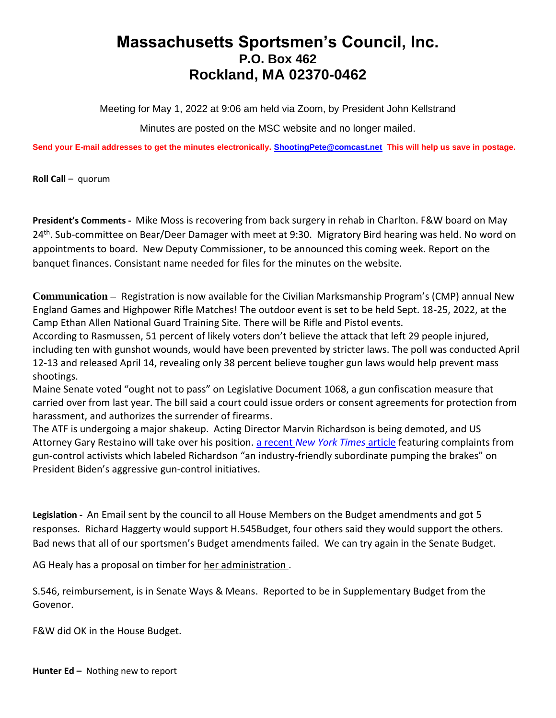## **Massachusetts Sportsmen's Council, Inc. P.O. Box 462 Rockland, MA 02370-0462**

Meeting for May 1, 2022 at 9:06 am held via Zoom, by President John Kellstrand

Minutes are posted on the MSC website and no longer mailed.

**Send your E-mail addresses to get the minutes electronically[. ShootingPete@comcast.net](mailto:ShootingPete@comcast.net) This will help us save in postage.**

**Roll Call** – quorum

**President's Comments -** Mike Moss is recovering from back surgery in rehab in Charlton. F&W board on May 24<sup>th</sup>. Sub-committee on Bear/Deer Damager with meet at 9:30. Migratory Bird hearing was held. No word on appointments to board. New Deputy Commissioner, to be announced this coming week. Report on the banquet finances. Consistant name needed for files for the minutes on the website.

**Communication –** Registration is now available for the Civilian Marksmanship Program's (CMP) annual New England Games and Highpower Rifle Matches! The outdoor event is set to be held Sept. 18-25, 2022, at the Camp Ethan Allen National Guard Training Site. There will be Rifle and Pistol events.

According to Rasmussen, 51 percent of likely voters don't believe the attack that left 29 people injured, including ten with gunshot wounds, would have been prevented by stricter laws. The poll was conducted April 12-13 and released April 14, revealing only 38 percent believe tougher gun laws would help prevent mass shootings.

Maine Senate voted "ought not to pass" on Legislative Document 1068, a gun confiscation measure that carried over from last year. The bill said a court could issue orders or consent agreements for protection from harassment, and authorizes the surrender of firearms.

The ATF is undergoing a major shakeup. Acting Director Marvin Richardson is being demoted, and US Attorney Gary Restaino will take over his position. a recent *[New York Times](https://thereload.com/analysis-the-odd-new-york-times-attack-on-the-acting-atf-director-member-exclusive/)* article featuring complaints from gun-control activists which labeled Richardson "an industry-friendly subordinate pumping the brakes" on President Biden's aggressive gun-control initiatives.

**Legislation -** An Email sent by the council to all House Members on the Budget amendments and got 5 responses. Richard Haggerty would support H.545Budget, four others said they would support the others. Bad news that all of our sportsmen's Budget amendments failed. We can try again in the Senate Budget.

AG Healy has a proposal on timber for her administration .

S.546, reimbursement, is in Senate Ways & Means. Reported to be in Supplementary Budget from the Govenor.

F&W did OK in the House Budget.

**Hunter Ed –** Nothing new to report